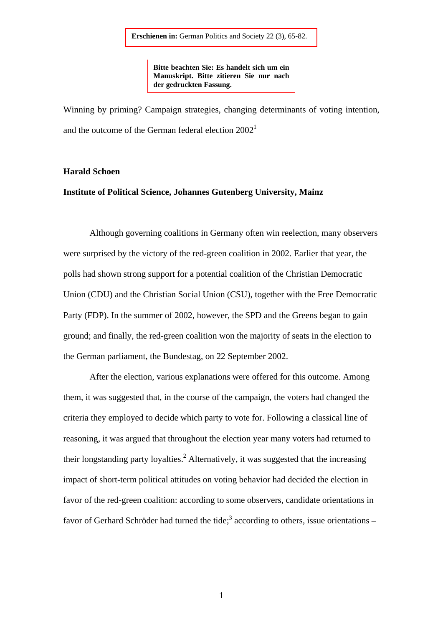**Bitte beachten Sie: Es handelt sich um ein Manuskript. Bitte zitieren Sie nur nach der gedruckten Fassung.** 

Winning by priming? Campaign strategies, changing determinants of voting intention, and the outcome of the German federal election  $2002<sup>1</sup>$ 

### **Harald Schoen**

# **Institute of Political Science, Johannes Gutenberg University, Mainz**

Although governing coalitions in Germany often win reelection, many observers were surprised by the victory of the red-green coalition in 2002. Earlier that year, the polls had shown strong support for a potential coalition of the Christian Democratic Union (CDU) and the Christian Social Union (CSU), together with the Free Democratic Party (FDP). In the summer of 2002, however, the SPD and the Greens began to gain ground; and finally, the red-green coalition won the majority of seats in the election to the German parliament, the Bundestag, on 22 September 2002.

After the election, various explanations were offered for this outcome. Among them, it was suggested that, in the course of the campaign, the voters had changed the criteria they employed to decide which party to vote for. Following a classical line of reasoning, it was argued that throughout the election year many voters had returned to their longstanding party loyalties.<sup>2</sup> Alternatively, it was suggested that the increasing impact of short-term political attitudes on voting behavior had decided the election in favor of the red-green coalition: according to some observers, candidate orientations in favor of Gerhard Schröder had turned the tide;<sup>3</sup> according to others, issue orientations  $-$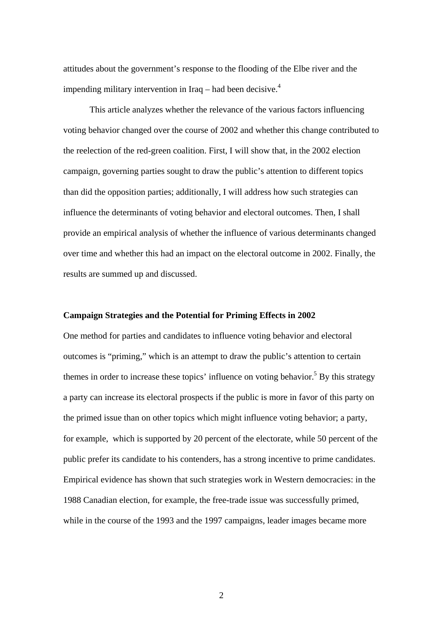attitudes about the government's response to the flooding of the Elbe river and the impending military intervention in Iraq – had been decisive.<sup>4</sup>

This article analyzes whether the relevance of the various factors influencing voting behavior changed over the course of 2002 and whether this change contributed to the reelection of the red-green coalition. First, I will show that, in the 2002 election campaign, governing parties sought to draw the public's attention to different topics than did the opposition parties; additionally, I will address how such strategies can influence the determinants of voting behavior and electoral outcomes. Then, I shall provide an empirical analysis of whether the influence of various determinants changed over time and whether this had an impact on the electoral outcome in 2002. Finally, the results are summed up and discussed.

#### **Campaign Strategies and the Potential for Priming Effects in 2002**

One method for parties and candidates to influence voting behavior and electoral outcomes is "priming," which is an attempt to draw the public's attention to certain themes in order to increase these topics' influence on voting behavior.<sup>5</sup> By this strategy a party can increase its electoral prospects if the public is more in favor of this party on the primed issue than on other topics which might influence voting behavior; a party, for example, which is supported by 20 percent of the electorate, while 50 percent of the public prefer its candidate to his contenders, has a strong incentive to prime candidates. Empirical evidence has shown that such strategies work in Western democracies: in the 1988 Canadian election, for example, the free-trade issue was successfully primed, while in the course of the 1993 and the 1997 campaigns, leader images became more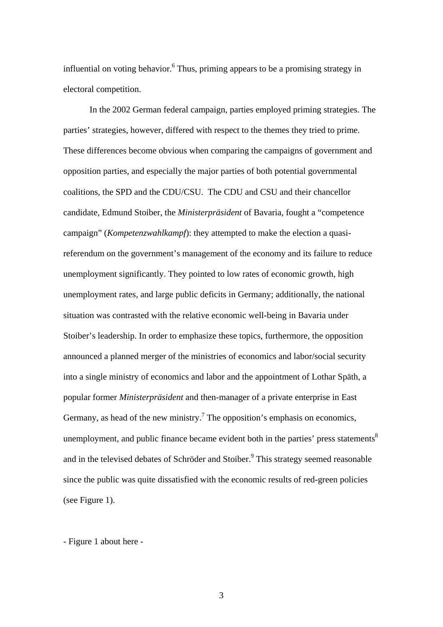influential on voting behavior.<sup>6</sup> Thus, priming appears to be a promising strategy in electoral competition.

In the 2002 German federal campaign, parties employed priming strategies. The parties' strategies, however, differed with respect to the themes they tried to prime. These differences become obvious when comparing the campaigns of government and opposition parties, and especially the major parties of both potential governmental coalitions, the SPD and the CDU/CSU. The CDU and CSU and their chancellor candidate, Edmund Stoiber, the *Ministerpräsident* of Bavaria, fought a "competence campaign" (*Kompetenzwahlkampf*): they attempted to make the election a quasireferendum on the government's management of the economy and its failure to reduce unemployment significantly. They pointed to low rates of economic growth, high unemployment rates, and large public deficits in Germany; additionally, the national situation was contrasted with the relative economic well-being in Bavaria under Stoiber's leadership. In order to emphasize these topics, furthermore, the opposition announced a planned merger of the ministries of economics and labor/social security into a single ministry of economics and labor and the appointment of Lothar Späth, a popular former *Ministerpräsident* and then-manager of a private enterprise in East Germany, as head of the new ministry.<sup>7</sup> The opposition's emphasis on economics, unemployment, and public finance became evident both in the parties' press statements<sup>8</sup> and in the televised debates of Schröder and Stoiber.<sup>9</sup> This strategy seemed reasonable since the public was quite dissatisfied with the economic results of red-green policies (see Figure 1).

- Figure 1 about here -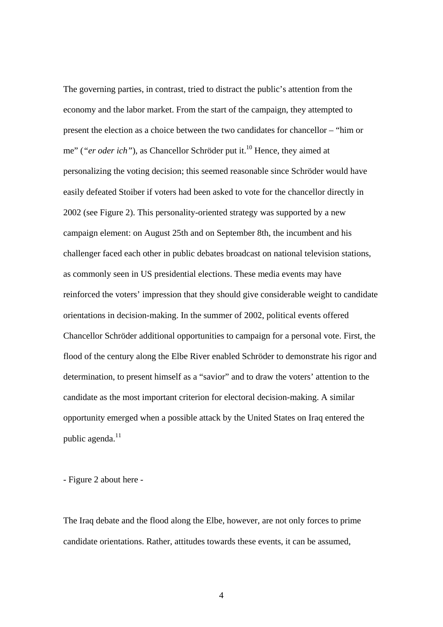The governing parties, in contrast, tried to distract the public's attention from the economy and the labor market. From the start of the campaign, they attempted to present the election as a choice between the two candidates for chancellor – "him or me" (*"er oder ich"*), as Chancellor Schröder put it.<sup>10</sup> Hence, they aimed at personalizing the voting decision; this seemed reasonable since Schröder would have easily defeated Stoiber if voters had been asked to vote for the chancellor directly in 2002 (see Figure 2). This personality-oriented strategy was supported by a new campaign element: on August 25th and on September 8th, the incumbent and his challenger faced each other in public debates broadcast on national television stations, as commonly seen in US presidential elections. These media events may have reinforced the voters' impression that they should give considerable weight to candidate orientations in decision-making. In the summer of 2002, political events offered Chancellor Schröder additional opportunities to campaign for a personal vote. First, the flood of the century along the Elbe River enabled Schröder to demonstrate his rigor and determination, to present himself as a "savior" and to draw the voters' attention to the candidate as the most important criterion for electoral decision-making. A similar opportunity emerged when a possible attack by the United States on Iraq entered the public agenda.<sup>11</sup>

- Figure 2 about here -

The Iraq debate and the flood along the Elbe, however, are not only forces to prime candidate orientations. Rather, attitudes towards these events, it can be assumed,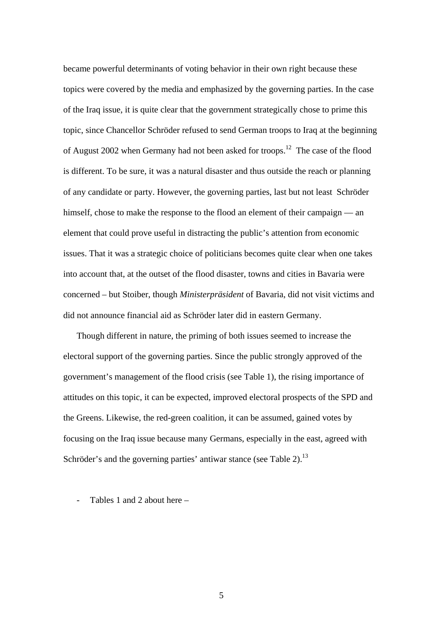became powerful determinants of voting behavior in their own right because these topics were covered by the media and emphasized by the governing parties. In the case of the Iraq issue, it is quite clear that the government strategically chose to prime this topic, since Chancellor Schröder refused to send German troops to Iraq at the beginning of August 2002 when Germany had not been asked for troops.<sup>12</sup> The case of the flood is different. To be sure, it was a natural disaster and thus outside the reach or planning of any candidate or party. However, the governing parties, last but not least Schröder himself, chose to make the response to the flood an element of their campaign — an element that could prove useful in distracting the public's attention from economic issues. That it was a strategic choice of politicians becomes quite clear when one takes into account that, at the outset of the flood disaster, towns and cities in Bavaria were concerned – but Stoiber, though *Ministerpräsident* of Bavaria, did not visit victims and did not announce financial aid as Schröder later did in eastern Germany.

Though different in nature, the priming of both issues seemed to increase the electoral support of the governing parties. Since the public strongly approved of the government's management of the flood crisis (see Table 1), the rising importance of attitudes on this topic, it can be expected, improved electoral prospects of the SPD and the Greens. Likewise, the red-green coalition, it can be assumed, gained votes by focusing on the Iraq issue because many Germans, especially in the east, agreed with Schröder's and the governing parties' antiwar stance (see Table 2).<sup>13</sup>

Tables 1 and 2 about here –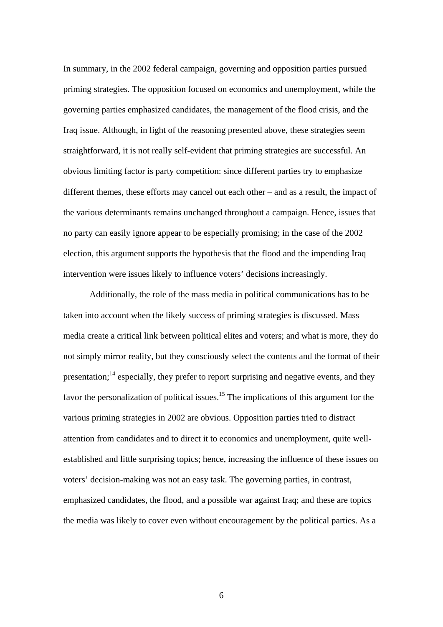In summary, in the 2002 federal campaign, governing and opposition parties pursued priming strategies. The opposition focused on economics and unemployment, while the governing parties emphasized candidates, the management of the flood crisis, and the Iraq issue. Although, in light of the reasoning presented above, these strategies seem straightforward, it is not really self-evident that priming strategies are successful. An obvious limiting factor is party competition: since different parties try to emphasize different themes, these efforts may cancel out each other – and as a result, the impact of the various determinants remains unchanged throughout a campaign. Hence, issues that no party can easily ignore appear to be especially promising; in the case of the 2002 election, this argument supports the hypothesis that the flood and the impending Iraq intervention were issues likely to influence voters' decisions increasingly.

Additionally, the role of the mass media in political communications has to be taken into account when the likely success of priming strategies is discussed. Mass media create a critical link between political elites and voters; and what is more, they do not simply mirror reality, but they consciously select the contents and the format of their presentation;<sup>14</sup> especially, they prefer to report surprising and negative events, and they favor the personalization of political issues.<sup>15</sup> The implications of this argument for the various priming strategies in 2002 are obvious. Opposition parties tried to distract attention from candidates and to direct it to economics and unemployment, quite wellestablished and little surprising topics; hence, increasing the influence of these issues on voters' decision-making was not an easy task. The governing parties, in contrast, emphasized candidates, the flood, and a possible war against Iraq; and these are topics the media was likely to cover even without encouragement by the political parties. As a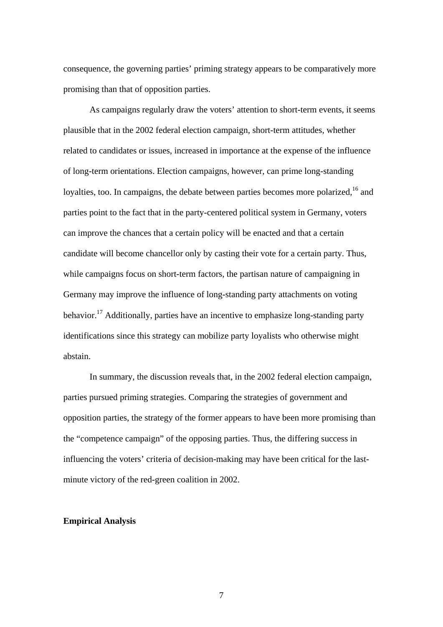consequence, the governing parties' priming strategy appears to be comparatively more promising than that of opposition parties.

As campaigns regularly draw the voters' attention to short-term events, it seems plausible that in the 2002 federal election campaign, short-term attitudes, whether related to candidates or issues, increased in importance at the expense of the influence of long-term orientations. Election campaigns, however, can prime long-standing loyalties, too. In campaigns, the debate between parties becomes more polarized,  $16$  and parties point to the fact that in the party-centered political system in Germany, voters can improve the chances that a certain policy will be enacted and that a certain candidate will become chancellor only by casting their vote for a certain party. Thus, while campaigns focus on short-term factors, the partisan nature of campaigning in Germany may improve the influence of long-standing party attachments on voting behavior.<sup>17</sup> Additionally, parties have an incentive to emphasize long-standing party identifications since this strategy can mobilize party loyalists who otherwise might abstain.

In summary, the discussion reveals that, in the 2002 federal election campaign, parties pursued priming strategies. Comparing the strategies of government and opposition parties, the strategy of the former appears to have been more promising than the "competence campaign" of the opposing parties. Thus, the differing success in influencing the voters' criteria of decision-making may have been critical for the lastminute victory of the red-green coalition in 2002.

#### **Empirical Analysis**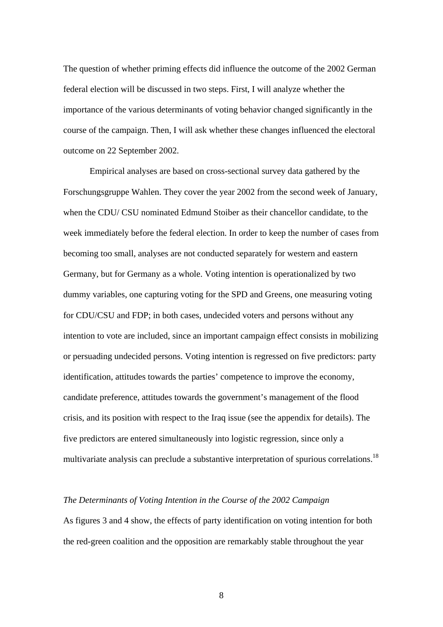The question of whether priming effects did influence the outcome of the 2002 German federal election will be discussed in two steps. First, I will analyze whether the importance of the various determinants of voting behavior changed significantly in the course of the campaign. Then, I will ask whether these changes influenced the electoral outcome on 22 September 2002.

Empirical analyses are based on cross-sectional survey data gathered by the Forschungsgruppe Wahlen. They cover the year 2002 from the second week of January, when the CDU/ CSU nominated Edmund Stoiber as their chancellor candidate, to the week immediately before the federal election. In order to keep the number of cases from becoming too small, analyses are not conducted separately for western and eastern Germany, but for Germany as a whole. Voting intention is operationalized by two dummy variables, one capturing voting for the SPD and Greens, one measuring voting for CDU/CSU and FDP; in both cases, undecided voters and persons without any intention to vote are included, since an important campaign effect consists in mobilizing or persuading undecided persons. Voting intention is regressed on five predictors: party identification, attitudes towards the parties' competence to improve the economy, candidate preference, attitudes towards the government's management of the flood crisis, and its position with respect to the Iraq issue (see the appendix for details). The five predictors are entered simultaneously into logistic regression, since only a multivariate analysis can preclude a substantive interpretation of spurious correlations.<sup>18</sup>

## *The Determinants of Voting Intention in the Course of the 2002 Campaign*

As figures 3 and 4 show, the effects of party identification on voting intention for both the red-green coalition and the opposition are remarkably stable throughout the year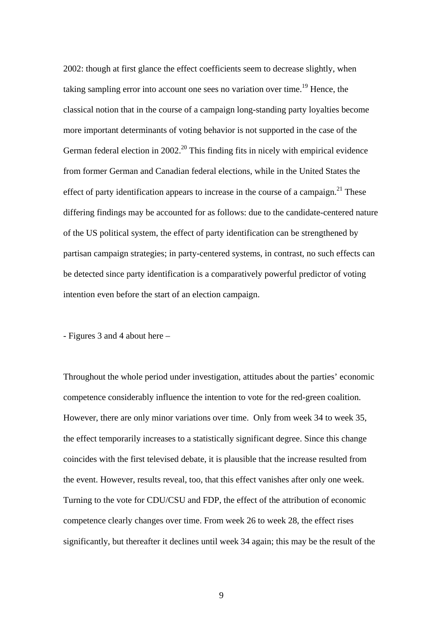2002: though at first glance the effect coefficients seem to decrease slightly, when taking sampling error into account one sees no variation over time.<sup>19</sup> Hence, the classical notion that in the course of a campaign long-standing party loyalties become more important determinants of voting behavior is not supported in the case of the German federal election in  $2002<sup>20</sup>$  This finding fits in nicely with empirical evidence from former German and Canadian federal elections, while in the United States the effect of party identification appears to increase in the course of a campaign.<sup>21</sup> These differing findings may be accounted for as follows: due to the candidate-centered nature of the US political system, the effect of party identification can be strengthened by partisan campaign strategies; in party-centered systems, in contrast, no such effects can be detected since party identification is a comparatively powerful predictor of voting intention even before the start of an election campaign.

- Figures 3 and 4 about here –

Throughout the whole period under investigation, attitudes about the parties' economic competence considerably influence the intention to vote for the red-green coalition. However, there are only minor variations over time. Only from week 34 to week 35, the effect temporarily increases to a statistically significant degree. Since this change coincides with the first televised debate, it is plausible that the increase resulted from the event. However, results reveal, too, that this effect vanishes after only one week. Turning to the vote for CDU/CSU and FDP, the effect of the attribution of economic competence clearly changes over time. From week 26 to week 28, the effect rises significantly, but thereafter it declines until week 34 again; this may be the result of the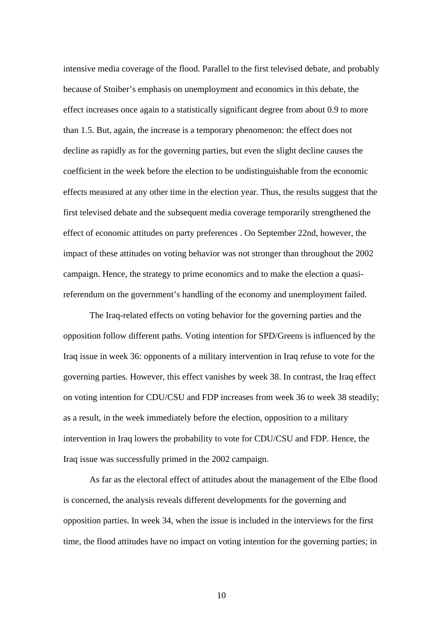intensive media coverage of the flood. Parallel to the first televised debate, and probably because of Stoiber's emphasis on unemployment and economics in this debate, the effect increases once again to a statistically significant degree from about 0.9 to more than 1.5. But, again, the increase is a temporary phenomenon: the effect does not decline as rapidly as for the governing parties, but even the slight decline causes the coefficient in the week before the election to be undistinguishable from the economic effects measured at any other time in the election year. Thus, the results suggest that the first televised debate and the subsequent media coverage temporarily strengthened the effect of economic attitudes on party preferences . On September 22nd, however, the impact of these attitudes on voting behavior was not stronger than throughout the 2002 campaign. Hence, the strategy to prime economics and to make the election a quasireferendum on the government's handling of the economy and unemployment failed.

The Iraq-related effects on voting behavior for the governing parties and the opposition follow different paths. Voting intention for SPD/Greens is influenced by the Iraq issue in week 36: opponents of a military intervention in Iraq refuse to vote for the governing parties. However, this effect vanishes by week 38. In contrast, the Iraq effect on voting intention for CDU/CSU and FDP increases from week 36 to week 38 steadily; as a result, in the week immediately before the election, opposition to a military intervention in Iraq lowers the probability to vote for CDU/CSU and FDP. Hence, the Iraq issue was successfully primed in the 2002 campaign.

As far as the electoral effect of attitudes about the management of the Elbe flood is concerned, the analysis reveals different developments for the governing and opposition parties. In week 34, when the issue is included in the interviews for the first time, the flood attitudes have no impact on voting intention for the governing parties; in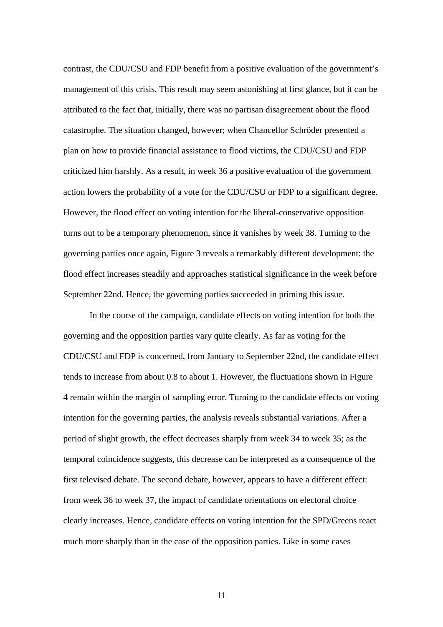contrast, the CDU/CSU and FDP benefit from a positive evaluation of the government's management of this crisis. This result may seem astonishing at first glance, but it can be attributed to the fact that, initially, there was no partisan disagreement about the flood catastrophe. The situation changed, however; when Chancellor Schröder presented a plan on how to provide financial assistance to flood victims, the CDU/CSU and FDP criticized him harshly. As a result, in week 36 a positive evaluation of the government action lowers the probability of a vote for the CDU/CSU or FDP to a significant degree. However, the flood effect on voting intention for the liberal-conservative opposition turns out to be a temporary phenomenon, since it vanishes by week 38. Turning to the governing parties once again, Figure 3 reveals a remarkably different development: the flood effect increases steadily and approaches statistical significance in the week before September 22nd. Hence, the governing parties succeeded in priming this issue.

In the course of the campaign, candidate effects on voting intention for both the governing and the opposition parties vary quite clearly. As far as voting for the CDU/CSU and FDP is concerned, from January to September 22nd, the candidate effect tends to increase from about 0.8 to about 1. However, the fluctuations shown in Figure 4 remain within the margin of sampling error. Turning to the candidate effects on voting intention for the governing parties, the analysis reveals substantial variations. After a period of slight growth, the effect decreases sharply from week 34 to week 35; as the temporal coincidence suggests, this decrease can be interpreted as a consequence of the first televised debate. The second debate, however, appears to have a different effect: from week 36 to week 37, the impact of candidate orientations on electoral choice clearly increases. Hence, candidate effects on voting intention for the SPD/Greens react much more sharply than in the case of the opposition parties. Like in some cases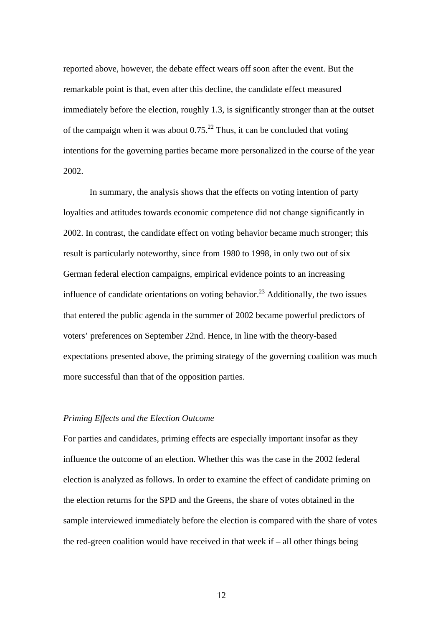reported above, however, the debate effect wears off soon after the event. But the remarkable point is that, even after this decline, the candidate effect measured immediately before the election, roughly 1.3, is significantly stronger than at the outset of the campaign when it was about  $0.75<sup>22</sup>$  Thus, it can be concluded that voting intentions for the governing parties became more personalized in the course of the year 2002.

In summary, the analysis shows that the effects on voting intention of party loyalties and attitudes towards economic competence did not change significantly in 2002. In contrast, the candidate effect on voting behavior became much stronger; this result is particularly noteworthy, since from 1980 to 1998, in only two out of six German federal election campaigns, empirical evidence points to an increasing influence of candidate orientations on voting behavior.<sup>23</sup> Additionally, the two issues that entered the public agenda in the summer of 2002 became powerful predictors of voters' preferences on September 22nd. Hence, in line with the theory-based expectations presented above, the priming strategy of the governing coalition was much more successful than that of the opposition parties.

#### *Priming Effects and the Election Outcome*

For parties and candidates, priming effects are especially important insofar as they influence the outcome of an election. Whether this was the case in the 2002 federal election is analyzed as follows. In order to examine the effect of candidate priming on the election returns for the SPD and the Greens, the share of votes obtained in the sample interviewed immediately before the election is compared with the share of votes the red-green coalition would have received in that week if – all other things being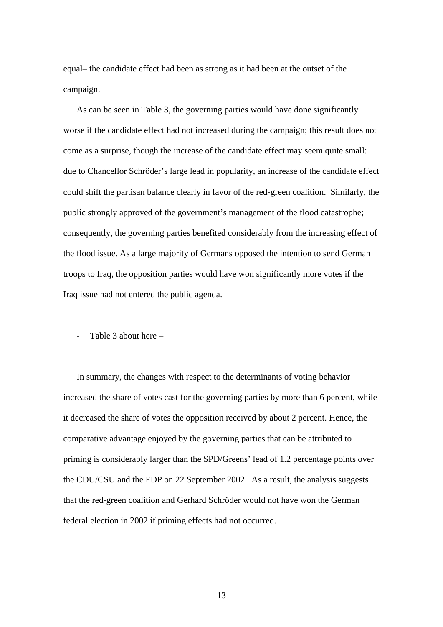equal– the candidate effect had been as strong as it had been at the outset of the campaign.

As can be seen in Table 3, the governing parties would have done significantly worse if the candidate effect had not increased during the campaign; this result does not come as a surprise, though the increase of the candidate effect may seem quite small: due to Chancellor Schröder's large lead in popularity, an increase of the candidate effect could shift the partisan balance clearly in favor of the red-green coalition. Similarly, the public strongly approved of the government's management of the flood catastrophe; consequently, the governing parties benefited considerably from the increasing effect of the flood issue. As a large majority of Germans opposed the intention to send German troops to Iraq, the opposition parties would have won significantly more votes if the Iraq issue had not entered the public agenda.

Table 3 about here  $-$ 

In summary, the changes with respect to the determinants of voting behavior increased the share of votes cast for the governing parties by more than 6 percent, while it decreased the share of votes the opposition received by about 2 percent. Hence, the comparative advantage enjoyed by the governing parties that can be attributed to priming is considerably larger than the SPD/Greens' lead of 1.2 percentage points over the CDU/CSU and the FDP on 22 September 2002. As a result, the analysis suggests that the red-green coalition and Gerhard Schröder would not have won the German federal election in 2002 if priming effects had not occurred.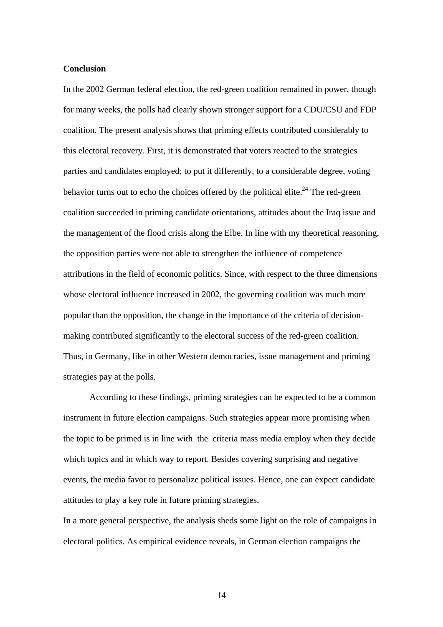#### **Conclusion**

In the 2002 German federal election, the red-green coalition remained in power, though for many weeks, the polls had clearly shown stronger support for a CDU/CSU and FDP coalition. The present analysis shows that priming effects contributed considerably to this electoral recovery. First, it is demonstrated that voters reacted to the strategies parties and candidates employed; to put it differently, to a considerable degree, voting behavior turns out to echo the choices offered by the political elite.<sup>24</sup> The red-green coalition succeeded in priming candidate orientations, attitudes about the Iraq issue and the management of the flood crisis along the Elbe. In line with my theoretical reasoning, the opposition parties were not able to strengthen the influence of competence attributions in the field of economic politics. Since, with respect to the three dimensions whose electoral influence increased in 2002, the governing coalition was much more popular than the opposition, the change in the importance of the criteria of decisionmaking contributed significantly to the electoral success of the red-green coalition. Thus, in Germany, like in other Western democracies, issue management and priming strategies pay at the polls.

According to these findings, priming strategies can be expected to be a common instrument in future election campaigns. Such strategies appear more promising when the topic to be primed is in line with the criteria mass media employ when they decide which topics and in which way to report. Besides covering surprising and negative events, the media favor to personalize political issues. Hence, one can expect candidate attitudes to play a key role in future priming strategies.

In a more general perspective, the analysis sheds some light on the role of campaigns in electoral politics. As empirical evidence reveals, in German election campaigns the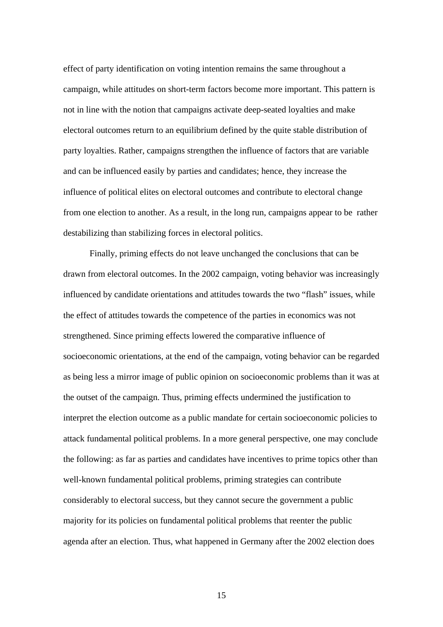effect of party identification on voting intention remains the same throughout a campaign, while attitudes on short-term factors become more important. This pattern is not in line with the notion that campaigns activate deep-seated loyalties and make electoral outcomes return to an equilibrium defined by the quite stable distribution of party loyalties. Rather, campaigns strengthen the influence of factors that are variable and can be influenced easily by parties and candidates; hence, they increase the influence of political elites on electoral outcomes and contribute to electoral change from one election to another. As a result, in the long run, campaigns appear to be rather destabilizing than stabilizing forces in electoral politics.

Finally, priming effects do not leave unchanged the conclusions that can be drawn from electoral outcomes. In the 2002 campaign, voting behavior was increasingly influenced by candidate orientations and attitudes towards the two "flash" issues, while the effect of attitudes towards the competence of the parties in economics was not strengthened. Since priming effects lowered the comparative influence of socioeconomic orientations, at the end of the campaign, voting behavior can be regarded as being less a mirror image of public opinion on socioeconomic problems than it was at the outset of the campaign. Thus, priming effects undermined the justification to interpret the election outcome as a public mandate for certain socioeconomic policies to attack fundamental political problems. In a more general perspective, one may conclude the following: as far as parties and candidates have incentives to prime topics other than well-known fundamental political problems, priming strategies can contribute considerably to electoral success, but they cannot secure the government a public majority for its policies on fundamental political problems that reenter the public agenda after an election. Thus, what happened in Germany after the 2002 election does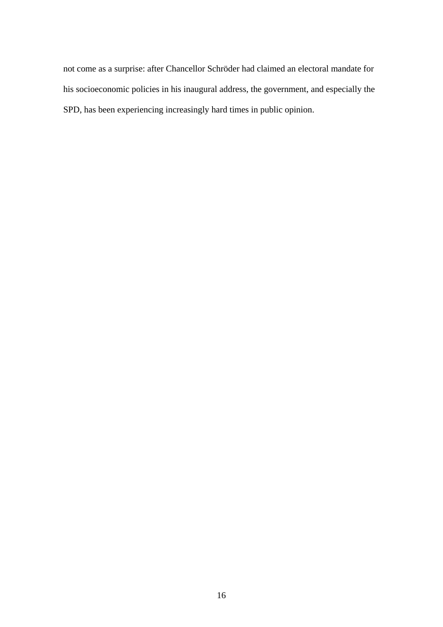not come as a surprise: after Chancellor Schröder had claimed an electoral mandate for his socioeconomic policies in his inaugural address, the government, and especially the SPD, has been experiencing increasingly hard times in public opinion.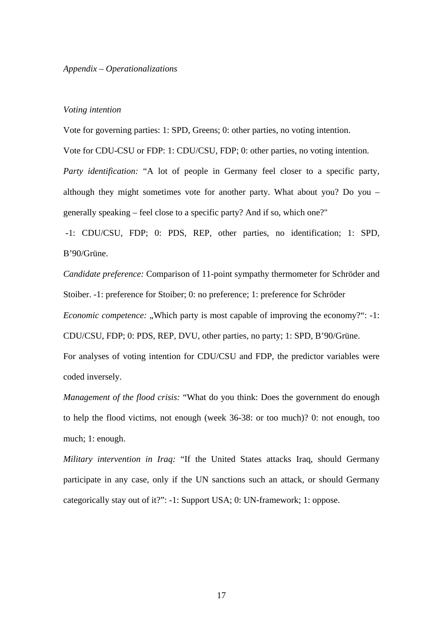#### *Appendix – Operationalizations*

#### *Voting intention*

Vote for governing parties: 1: SPD, Greens; 0: other parties, no voting intention.

Vote for CDU-CSU or FDP: 1: CDU/CSU, FDP; 0: other parties, no voting intention. *Party identification:* "A lot of people in Germany feel closer to a specific party, although they might sometimes vote for another party. What about you? Do you – generally speaking – feel close to a specific party? And if so, which one?"

-1: CDU/CSU, FDP; 0: PDS, REP, other parties, no identification; 1: SPD, B'90/Grüne.

*Candidate preference:* Comparison of 11-point sympathy thermometer for Schröder and Stoiber. -1: preference for Stoiber; 0: no preference; 1: preference for Schröder *Economic competence:* .,Which party is most capable of improving the economy?": -1: CDU/CSU, FDP; 0: PDS, REP, DVU, other parties, no party; 1: SPD, B'90/Grüne. For analyses of voting intention for CDU/CSU and FDP, the predictor variables were coded inversely.

*Management of the flood crisis:* "What do you think: Does the government do enough to help the flood victims, not enough (week 36-38: or too much)? 0: not enough, too much; 1: enough.

*Military intervention in Iraq:* "If the United States attacks Iraq, should Germany participate in any case, only if the UN sanctions such an attack, or should Germany categorically stay out of it?": -1: Support USA; 0: UN-framework; 1: oppose.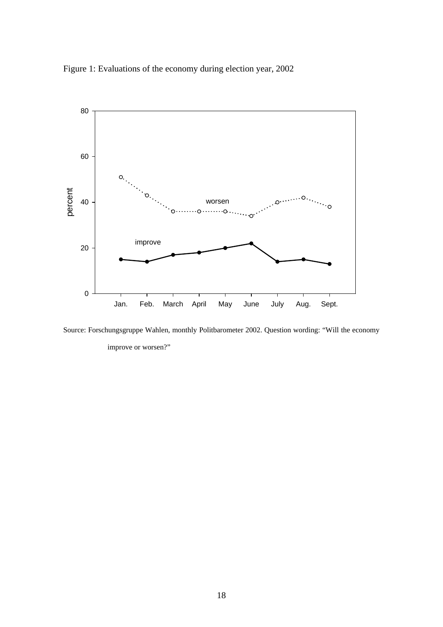



Source: Forschungsgruppe Wahlen, monthly Politbarometer 2002. Question wording: "Will the economy improve or worsen?"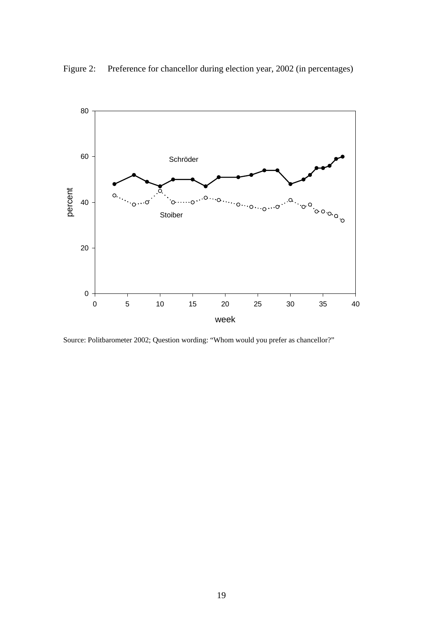

Figure 2: Preference for chancellor during election year, 2002 (in percentages)

Source: Politbarometer 2002; Question wording: "Whom would you prefer as chancellor?"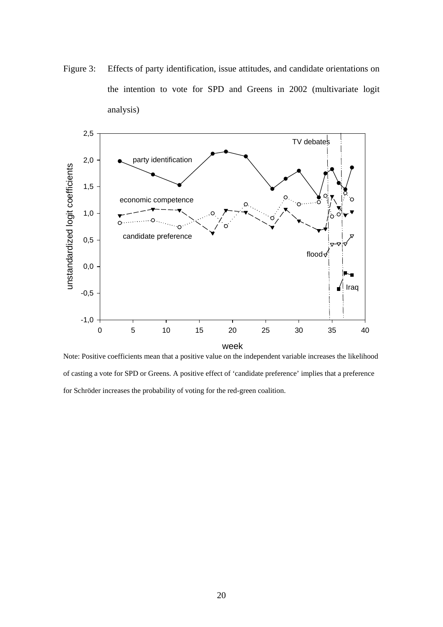Figure 3: Effects of party identification, issue attitudes, and candidate orientations on the intention to vote for SPD and Greens in 2002 (multivariate logit analysis)



Note: Positive coefficients mean that a positive value on the independent variable increases the likelihood of casting a vote for SPD or Greens. A positive effect of 'candidate preference' implies that a preference for Schröder increases the probability of voting for the red-green coalition.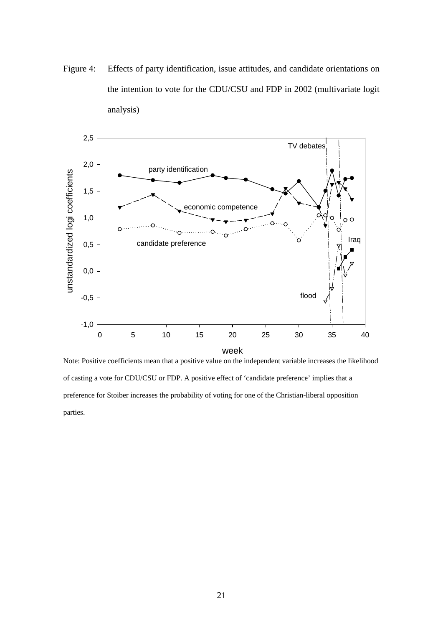Figure 4: Effects of party identification, issue attitudes, and candidate orientations on the intention to vote for the CDU/CSU and FDP in 2002 (multivariate logit analysis)



Note: Positive coefficients mean that a positive value on the independent variable increases the likelihood of casting a vote for CDU/CSU or FDP. A positive effect of 'candidate preference' implies that a preference for Stoiber increases the probability of voting for one of the Christian-liberal opposition parties.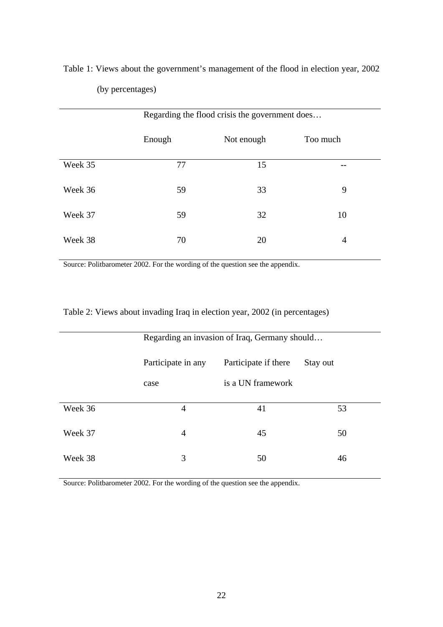|         | Regarding the flood crisis the government does |            |          |  |
|---------|------------------------------------------------|------------|----------|--|
|         | Enough                                         | Not enough | Too much |  |
| Week 35 | 77                                             | 15         |          |  |
| Week 36 | 59                                             | 33         | 9        |  |
| Week 37 | 59                                             | 32         | 10       |  |
| Week 38 | 70                                             | 20         | 4        |  |

Table 1: Views about the government's management of the flood in election year, 2002 (by percentages)

Source: Politbarometer 2002. For the wording of the question see the appendix.

|         | Regarding an invasion of Iraq, Germany should |                      |          |
|---------|-----------------------------------------------|----------------------|----------|
|         | Participate in any                            | Participate if there | Stay out |
|         | case                                          | is a UN framework    |          |
| Week 36 | 4                                             | 41                   | 53       |
| Week 37 | 4                                             | 45                   | 50       |
| Week 38 | 3                                             | 50                   | 46       |

Table 2: Views about invading Iraq in election year, 2002 (in percentages)

Source: Politbarometer 2002. For the wording of the question see the appendix.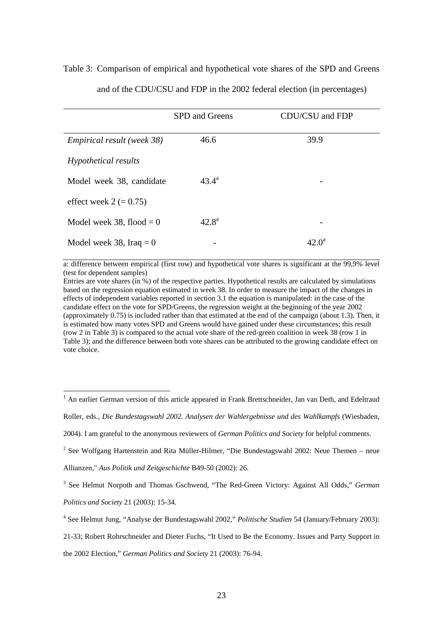# Table 3: Comparison of empirical and hypothetical vote shares of the SPD and Greens and of the CDU/CSU and FDP in the 2002 federal election (in percentages)

|                                   | SPD and Greens | CDU/CSU and FDP |
|-----------------------------------|----------------|-----------------|
| <i>Empirical result (week 38)</i> | 46.6           | 39.9            |
| Hypothetical results              |                |                 |
| Model week 38, candidate          | $43.4^{\rm a}$ |                 |
| effect week $2 (= 0.75)$          |                |                 |
| Model week 38, flood $= 0$        | $42.8^{\rm a}$ |                 |
| Model week 38, Iraq $= 0$         |                | $42.0^{\rm a}$  |

a: difference between empirical (first row) and hypothetical vote shares is significant at the 99,9% level (test for dependent samples)

Entries are vote shares (in %) of the respective parties. Hypothetical results are calculated by simulations based on the regression equation estimated in week 38. In order to measure the impact of the changes in effects of independent variables reported in section 3.1 the equation is manipulated: in the case of the candidate effect on the vote for SPD/Greens, the regression weight at the beginning of the year 2002 (approximately 0.75) is included rather than that estimated at the end of the campaign (about 1.3). Then, it is estimated how many votes SPD and Greens would have gained under these circumstances; this result (row 2 in Table 3) is compared to the actual vote share of the red-green coalition in week 38 (row 1 in Table 3); and the difference between both vote shares can be attributed to the growing candidate effect on vote choice.

<sup>1</sup> An earlier German version of this article appeared in Frank Brettschneider, Jan van Deth, and Edeltraud

Roller, eds., *Die Bundestagswahl 2002. Analysen der Wahlergebnisse und des Wahlkampfs* (Wiesbaden,

2004). I am grateful to the anonymous reviewers of *German Politics and Society* for helpful comments.

 $2$  See Wolfgang Hartenstein and Rita Müller-Hilmer, "Die Bundestagswahl 2002: Neue Themen – neue

Allianzen," *Aus Politik und Zeitgeschichte* B49-50 (2002): 26.

1

3 See Helmut Norpoth and Thomas Gschwend, "The Red-Green Victory: Against All Odds," *German Politics and Society* 21 (2003): 15-34.

21-33; Robert Rohrschneider and Dieter Fuchs, "It Used to Be the Economy. Issues and Party Support in the 2002 Election," *German Politics and Society* 21 (2003): 76-94.

<sup>4</sup> See Helmut Jung, "Analyse der Bundestagswahl 2002," *Politische Studien* 54 (January/February 2003):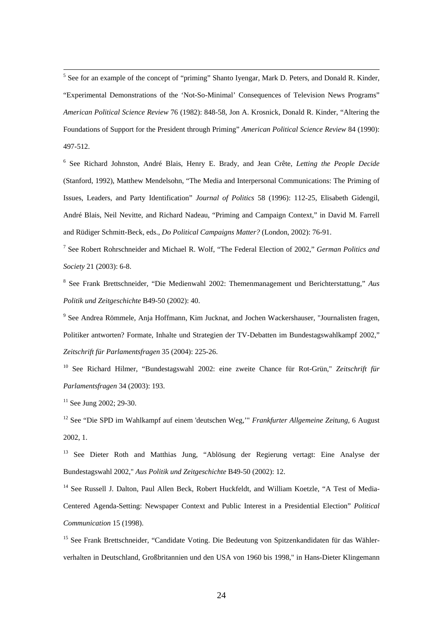$\frac{1}{5}$ <sup>5</sup> See for an example of the concept of "priming" Shanto Iyengar, Mark D. Peters, and Donald R. Kinder, "Experimental Demonstrations of the 'Not-So-Minimal' Consequences of Television News Programs" *American Political Science Review* 76 (1982): 848-58, Jon A. Krosnick, Donald R. Kinder, "Altering the Foundations of Support for the President through Priming" *American Political Science Review* 84 (1990): 497-512.

6 See Richard Johnston, André Blais, Henry E. Brady, and Jean Crête, *Letting the People Decide* (Stanford, 1992), Matthew Mendelsohn, "The Media and Interpersonal Communications: The Priming of Issues, Leaders, and Party Identification" *Journal of Politics* 58 (1996): 112-25, Elisabeth Gidengil, André Blais, Neil Nevitte, and Richard Nadeau, "Priming and Campaign Context," in David M. Farrell and Rüdiger Schmitt-Beck, eds., *Do Political Campaigns Matter?* (London, 2002): 76-91.

7 See Robert Rohrschneider and Michael R. Wolf, "The Federal Election of 2002," *German Politics and Society* 21 (2003): 6-8.

8 See Frank Brettschneider, "Die Medienwahl 2002: Themenmanagement und Berichterstattung," *Aus Politik und Zeitgeschichte* B49-50 (2002): 40.

<sup>9</sup> See Andrea Römmele, Anja Hoffmann, Kim Jucknat, and Jochen Wackershauser, "Journalisten fragen, Politiker antworten? Formate, Inhalte und Strategien der TV-Debatten im Bundestagswahlkampf 2002," *Zeitschrift für Parlamentsfragen* 35 (2004): 225-26.

10 See Richard Hilmer, "Bundestagswahl 2002: eine zweite Chance für Rot-Grün," *Zeitschrift für Parlamentsfragen* 34 (2003): 193.

 $11$  See Jung 2002; 29-30.

12 See "Die SPD im Wahlkampf auf einem 'deutschen Weg,'" *Frankfurter Allgemeine Zeitung,* 6 August 2002, 1.

<sup>13</sup> See Dieter Roth and Matthias Jung, "Ablösung der Regierung vertagt: Eine Analyse der Bundestagswahl 2002," *Aus Politik und Zeitgeschichte* B49-50 (2002): 12.

<sup>14</sup> See Russell J. Dalton, Paul Allen Beck, Robert Huckfeldt, and William Koetzle, "A Test of Media-Centered Agenda-Setting: Newspaper Context and Public Interest in a Presidential Election" *Political Communication* 15 (1998).

<sup>15</sup> See Frank Brettschneider, "Candidate Voting. Die Bedeutung von Spitzenkandidaten für das Wählerverhalten in Deutschland, Großbritannien und den USA von 1960 bis 1998," in Hans-Dieter Klingemann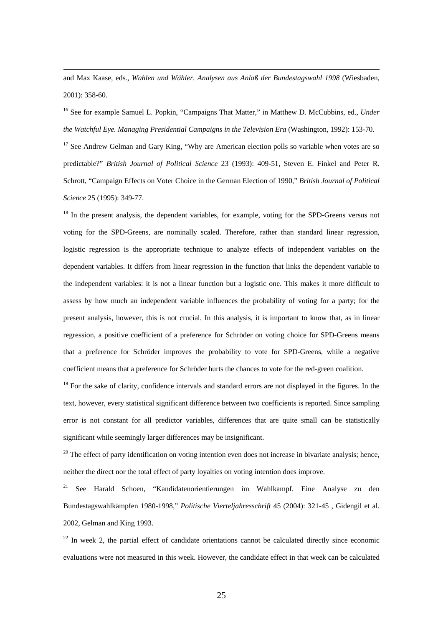and Max Kaase, eds., *Wahlen und Wähler. Analysen aus Anlaß der Bundestagswahl 1998* (Wiesbaden, 2001): 358-60.

16 See for example Samuel L. Popkin, "Campaigns That Matter," in Matthew D. McCubbins, ed., *Under the Watchful Eye. Managing Presidential Campaigns in the Television Era* (Washington, 1992): 153-70.

 $17$  See Andrew Gelman and Gary King, "Why are American election polls so variable when votes are so predictable?" *British Journal of Political Science* 23 (1993): 409-51, Steven E. Finkel and Peter R. Schrott, "Campaign Effects on Voter Choice in the German Election of 1990," *British Journal of Political Science* 25 (1995): 349-77.

<sup>18</sup> In the present analysis, the dependent variables, for example, voting for the SPD-Greens versus not voting for the SPD-Greens, are nominally scaled. Therefore, rather than standard linear regression, logistic regression is the appropriate technique to analyze effects of independent variables on the dependent variables. It differs from linear regression in the function that links the dependent variable to the independent variables: it is not a linear function but a logistic one. This makes it more difficult to assess by how much an independent variable influences the probability of voting for a party; for the present analysis, however, this is not crucial. In this analysis, it is important to know that, as in linear regression, a positive coefficient of a preference for Schröder on voting choice for SPD-Greens means that a preference for Schröder improves the probability to vote for SPD-Greens, while a negative coefficient means that a preference for Schröder hurts the chances to vote for the red-green coalition.

<sup>19</sup> For the sake of clarity, confidence intervals and standard errors are not displayed in the figures. In the text, however, every statistical significant difference between two coefficients is reported. Since sampling error is not constant for all predictor variables, differences that are quite small can be statistically significant while seemingly larger differences may be insignificant.

 $20$  The effect of party identification on voting intention even does not increase in bivariate analysis; hence, neither the direct nor the total effect of party loyalties on voting intention does improve.

<sup>21</sup> See Harald Schoen, "Kandidatenorientierungen im Wahlkampf. Eine Analyse zu den Bundestagswahlkämpfen 1980-1998," *Politische Vierteljahresschrift* 45 (2004): 321-45 , Gidengil et al. 2002, Gelman and King 1993.

 $22$  In week 2, the partial effect of candidate orientations cannot be calculated directly since economic evaluations were not measured in this week. However, the candidate effect in that week can be calculated